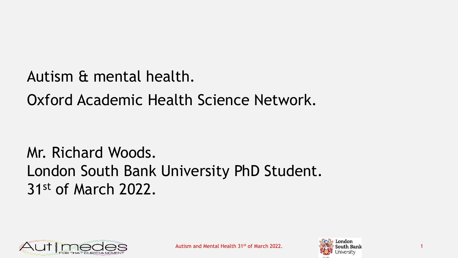Autism & mental health.

Oxford Academic Health Science Network.

Mr. Richard Woods. London South Bank University PhD Student. 31st of March 2022.



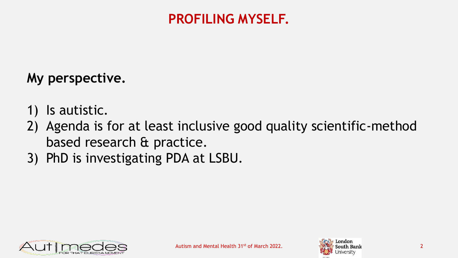#### **PROFILING MYSELF.**

#### **My perspective.**

- 1) Is autistic.
- 2) Agenda is for at least inclusive good quality scientific-method based research & practice.
- 3) PhD is investigating PDA at LSBU.



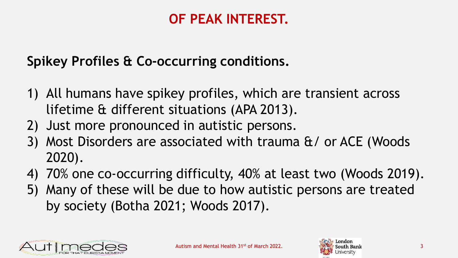## **OF PEAK INTEREST.**

# **Spikey Profiles & Co-occurring conditions.**

- 1) All humans have spikey profiles, which are transient across lifetime & different situations (APA 2013).
- 2) Just more pronounced in autistic persons.
- 3) Most Disorders are associated with trauma &/ or ACE (Woods 2020).
- 4) 70% one co-occurring difficulty, 40% at least two (Woods 2019).
- 5) Many of these will be due to how autistic persons are treated by society (Botha 2021; Woods 2017).



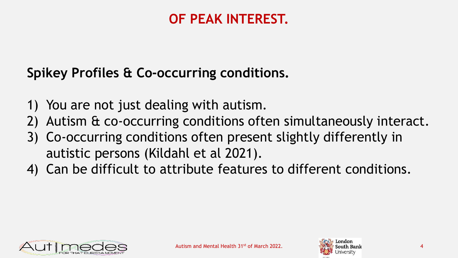## **OF PEAK INTEREST.**

## **Spikey Profiles & Co-occurring conditions.**

- 1) You are not just dealing with autism.
- 2) Autism & co-occurring conditions often simultaneously interact.
- 3) Co-occurring conditions often present slightly differently in autistic persons (Kildahl et al 2021).
- 4) Can be difficult to attribute features to different conditions.



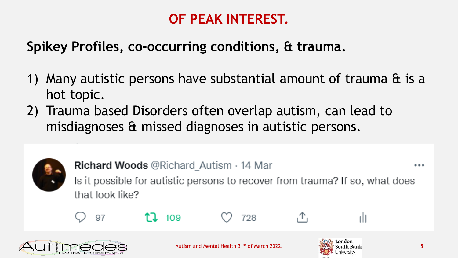# **OF PEAK INTEREST.**

## **Spikey Profiles, co-occurring conditions, & trauma.**

- 1) Many autistic persons have substantial amount of trauma & is a hot topic.
- 2) Trauma based Disorders often overlap autism, can lead to misdiagnoses & missed diagnoses in autistic persons.



**Richard Woods @Richard Autism · 14 Mar** 

...

Is it possible for autistic persons to recover from trauma? If so, what does that look like?



 $11.109$ 



728







Autism and Mental Health 31st of March 2022. South Bank South Bank

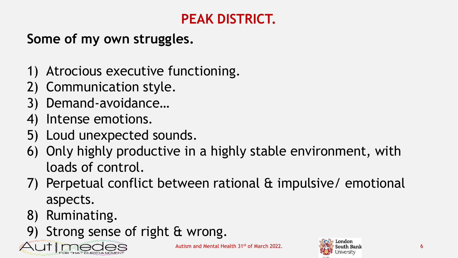# **PEAK DISTRICT.**

# **Some of my own struggles.**

- 1) Atrocious executive functioning.
- 2) Communication style.
- 3) Demand-avoidance…
- 4) Intense emotions.
- 5) Loud unexpected sounds.
- 6) Only highly productive in a highly stable environment, with loads of control.
- 7) Perpetual conflict between rational & impulsive/ emotional aspects.
- 8) Ruminating.
- 9) Strong sense of right & wrong.



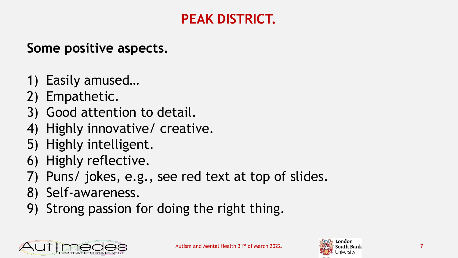# **PEAK DISTRICT.**

### **Some positive aspects.**

- 1) Easily amused…
- 2) Empathetic.
- 3) Good attention to detail.
- 4) Highly innovative/ creative.
- 5) Highly intelligent.
- 6) Highly reflective.
- 7) Puns/ jokes, e.g., see red text at top of slides.
- 8) Self-awareness.
- 9) Strong passion for doing the right thing.



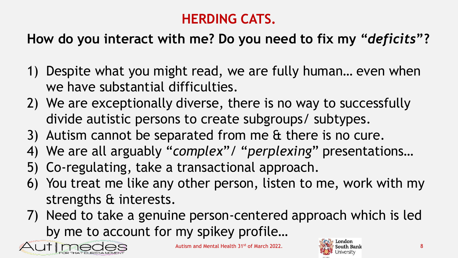# **HERDING CATS.**

# **How do you interact with me? Do you need to fix my "***deficits***"?**

- 1) Despite what you might read, we are fully human… even when we have substantial difficulties.
- 2) We are exceptionally diverse, there is no way to successfully divide autistic persons to create subgroups/ subtypes.
- 3) Autism cannot be separated from me & there is no cure.
- 4) We are all arguably "*complex*"/ "*perplexing*" presentations…
- 5) Co-regulating, take a transactional approach.
- 6) You treat me like any other person, listen to me, work with my strengths & interests.
- 7) Need to take a genuine person-centered approach which is led by me to account for my spikey profile…



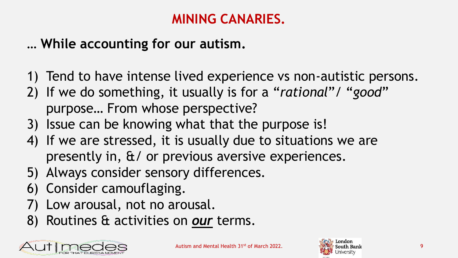### **MINING CANARIES.**

## **… While accounting for our autism.**

- 1) Tend to have intense lived experience vs non-autistic persons.
- 2) If we do something, it usually is for a "*rational*"/ "*good*" purpose… From whose perspective?
- 3) Issue can be knowing what that the purpose is!
- 4) If we are stressed, it is usually due to situations we are presently in, &/ or previous aversive experiences.
- 5) Always consider sensory differences.
- 6) Consider camouflaging.
- 7) Low arousal, not no arousal.
- 8) Routines & activities on *our* terms.



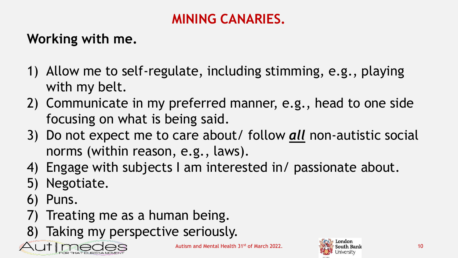## **MINING CANARIES.**

# **Working with me.**

- 1) Allow me to self-regulate, including stimming, e.g., playing with my belt.
- 2) Communicate in my preferred manner, e.g., head to one side focusing on what is being said.
- 3) Do not expect me to care about/ follow *all* non-autistic social norms (within reason, e.g., laws).
- 4) Engage with subjects I am interested in/ passionate about.
- 5) Negotiate.
- 6) Puns.
- 7) Treating me as a human being.
- 8) Taking my perspective seriously.



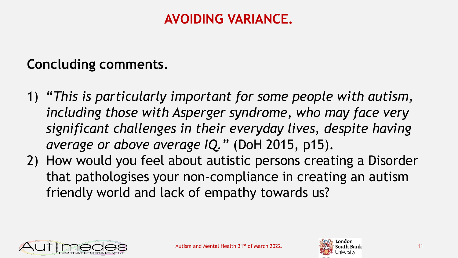### **AVOIDING VARIANCE.**

#### **Concluding comments.**

- 1) "*This is particularly important for some people with autism, including those with Asperger syndrome, who may face very significant challenges in their everyday lives, despite having average or above average IQ.*" (DoH 2015, p15).
- 2) How would you feel about autistic persons creating a Disorder that pathologises your non-compliance in creating an autism friendly world and lack of empathy towards us?



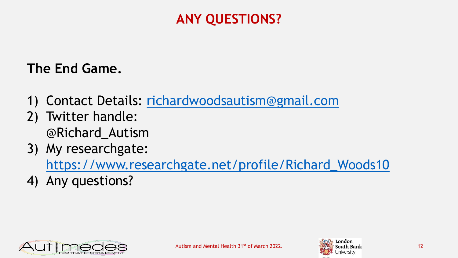## **ANY QUESTIONS?**

#### **The End Game.**

- 1) Contact Details: [richardwoodsautism@gmail.com](mailto:richardwoodsautism@gmail.com)
- 2) Twitter handle: @Richard\_Autism
- 3) My researchgate:

[https://www.researchgate.net/profile/Richard\\_Woods10](https://www.researchgate.net/profile/Richard_Woods10)

4) Any questions?



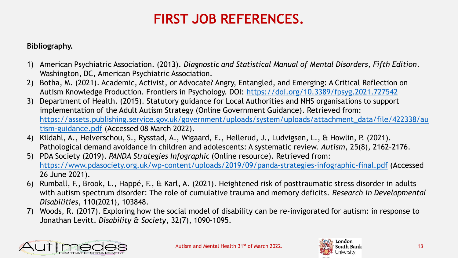## **FIRST JOB REFERENCES.**

#### **Bibliography.**

- 1) American Psychiatric Association. (2013). *Diagnostic and Statistical Manual of Mental Disorders, Fifth Edition*. Washington, DC, American Psychiatric Association.
- 2) Botha, M. (2021). Academic, Activist, or Advocate? Angry, Entangled, and Emerging: A Critical Reflection on Autism Knowledge Production. Frontiers in Psychology. DOI: <https://doi.org/10.3389/fpsyg.2021.727542>
- 3) Department of Health. (2015). Statutory guidance for Local Authorities and NHS organisations to support implementation of the Adult Autism Strategy (Online Government Guidance). Retrieved from: [https://assets.publishing.service.gov.uk/government/uploads/system/uploads/attachment\\_data/file/422338/au](https://assets.publishing.service.gov.uk/government/uploads/system/uploads/attachment_data/file/422338/autism-guidance.pdf) tism-guidance.pdf (Accessed 08 March 2022).
- 4) Kildahl, A., Helverschou, S., Rysstad, A., Wigaard, E., Hellerud, J., Ludvigsen, L., & Howlin, P. (2021). Pathological demand avoidance in children and adolescents: A systematic review. *Autism*, 25(8), 2162–2176.
- 5) PDA Society (2019). *PANDA Strategies Infographic* (Online resource). Retrieved from: <https://www.pdasociety.org.uk/wp-content/uploads/2019/09/panda-strategies-infographic-final.pdf> (Accessed 26 June 2021).
- 6) Rumball, F., Brook, L., Happé, F., & Karl, A. (2021). Heightened risk of posttraumatic stress disorder in adults with autism spectrum disorder: The role of cumulative trauma and memory deficits. *Research in Developmental Disabilities*, 110(2021), 103848.
- 7) Woods, R. (2017). Exploring how the social model of disability can be re-invigorated for autism: in response to Jonathan Levitt. *Disability & Society*, 32(7), 1090-1095.